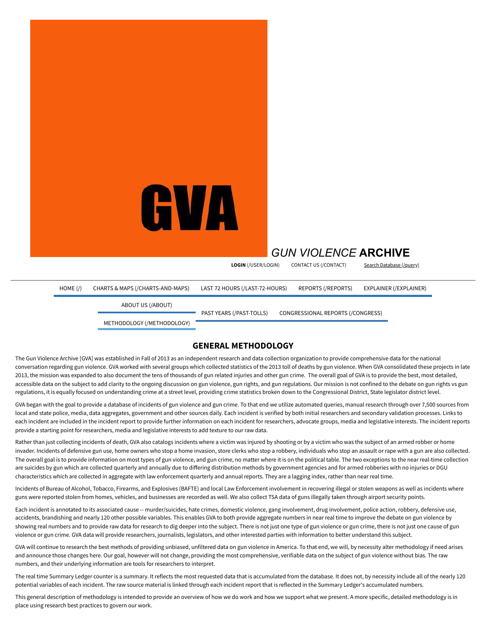

# *[GUN VIOLENCE](https://www.gunviolencearchive.org/)* **ARCHIVE**

**LOGIN** [\(/USER/LOGIN\)](https://www.gunviolencearchive.org/user/login) CONTACT US [\(/CONTACT\)](https://www.gunviolencearchive.org/contact) Search [Database](https://www.gunviolencearchive.org/query) (/query)

[HOME](https://www.gunviolencearchive.org/) (/) CHARTS & MAPS [\(/CHARTS-AND-MAPS\)](https://www.gunviolencearchive.org/charts-and-maps) LAST 72 HOURS [\(/LAST-72-HOURS\)](https://www.gunviolencearchive.org/last-72-hours) REPORTS [\(/REPORTS\)](https://www.gunviolencearchive.org/reports) EXPLAINER [\(/EXPLAINER\)](https://www.gunviolencearchive.org/explainer) ABOUT US [\(/ABOUT\)](https://www.gunviolencearchive.org/about) METHODOLOGY [\(/METHODOLOGY\)](https://www.gunviolencearchive.org/methodology) PAST YEARS [\(/PAST-TOLLS\)](https://www.gunviolencearchive.org/past-tolls) [CONGRESSIONAL](https://www.gunviolencearchive.org/congress) REPORTS (/CONGRESS)

# **GENERAL METHODOLOGY**

The Gun Violence Archive [GVA] was established in Fall of 2013 as an independent research and data collection organization to provide comprehensive data for the national conversation regarding gun violence. GVA worked with several groups which collected statistics of the 2013 toll of deaths by gun violence. When GVA consolidated these projects in late 2013, the mission was expanded to also document the tens of thousands of gun related injuries and other gun crime. The overall goal of GVA is to provide the best, most detailed, accessible data on the subject to add clarity to the ongoing discussion on gun violence, gun rights, and gun regulations. Our mission is not confined to the debate on gun rights vs gun regulations, it is equally focused on understanding crime at a street level, providing crime statistics broken down to the Congressional District, State legislator district level.

GVA began with the goal to provide a database of incidents of gun violence and gun crime. To that end we utilize automated queries, manual research through over 7,500 sources from local and state police, media, data aggregates, government and other sources daily. Each incident is verified by both initial researchers and secondary validation processes. Links to each incident are included in the incident report to provide further information on each incident for researchers, advocate groups, media and legislative interests. The incident reports provide a starting point for researchers, media and legislative interests to add texture to our raw data.

Rather than just collecting incidents of death, GVA also catalogs incidents where a victim was injured by shooting or by a victim who was the subject of an armed robber or home invader. Incidents of defensive gun use, home owners who stop a home invasion, store clerks who stop a robbery, individuals who stop an assault or rape with a gun are also collected. The overall goal is to provide information on most types of gun violence, and gun crime, no matter where it is on the political table. The two exceptions to the near real-time collection are suicides by gun which are collected quarterly and annually due to differing distribution methods by government agencies and for armed robberies with no injuries or DGU characteristics which are collected in aggregate with law enforcement quarterly and annual reports. They are a lagging index, rather than near real time.

Incidents of Bureau of Alcohol, Tobacco, Firearms, and Explosives (BAFTE) and local Law Enforcement involvement in recovering illegal or stolen weapons as well as incidents where guns were reported stolen from homes, vehicles, and businesses are recorded as well. We also collect TSA data of guns illegally taken through airport security points.

Each incident is annotated to its associated cause -- murder/suicides, hate crimes, domestic violence, gang involvement, drug involvement, police action, robbery, defensive use, accidents, brandishing and nearly 120 other possible variables. This enables GVA to both provide aggregate numbers in near real time to improve the debate on gun violence by showing real numbers and to provide raw data for research to dig deeper into the subject. There is not just one type of gun violence or gun crime, there is not just one cause of gun violence or gun crime. GVA data will provide researchers, journalists, legislators, and other interested parties with information to better understand this subject.

GVA will continue to research the best methods of providing unbiased, unfiltered data on gun violence in America. To that end, we will, by necessity alter methodology if need arises and announce those changes here. Our goal, however will not change, providing the most comprehensive, verifiable data on the subject of gun violence without bias. The raw numbers, and their underlying information are tools for researchers to interpret.

The real time Summary Ledger counter is a summary. It reflects the most requested data that is accumulated from the database. It does not, by necessity include all of the nearly 120 potential variables of each incident. The raw source material is linked through each incident report that is reflected in the Summary Ledger's accumulated numbers.

This general description of methodology is intended to provide an overview of how we do work and how we support what we present. A more specific, detailed methodology is in place using research best practices to govern our work.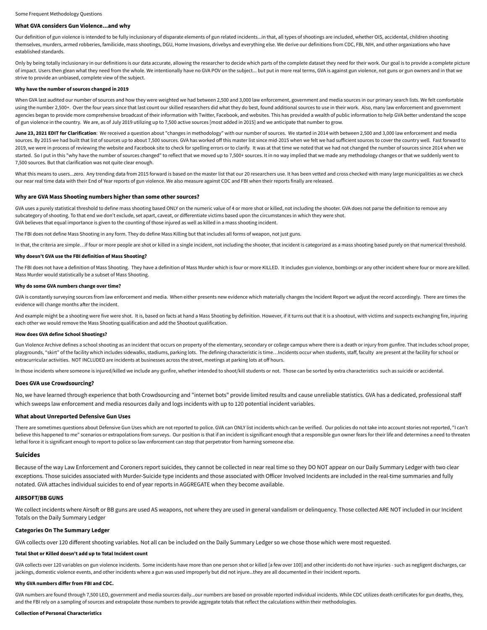# **What GVA considers Gun Violence...and why**

Our definition of gun violence is intended to be fully inclusionary of disparate elements of gun related incidents...in that, all types of shootings are included, whether OIS, accidental, children shooting themselves, murders, armed robberies, familicide, mass shootings, DGU, Home Invasions, drivebys and everything else. We derive our definitions from CDC, FBI, NIH, and other organizations who have established standards.

Only by being totally inclusionary in our definitions is our data accurate, allowing the researcher to decide which parts of the complete dataset they need for their work. Our goal is to provide a complete picture of impact. Users then glean what they need from the whole. We intentionally have no GVA POV on the subject... but put in more real terms, GVA is against gun violence, not guns or gun owners and in that we strive to provide an unbiased, complete view of the subject.

#### **Why have the number of sources changed in 2019**

When GVA last audited our number of sources and how they were weighted we had between 2,500 and 3,000 law enforcement, government and media sources in our primary search lists. We felt comfortable using the number 2,500+. Over the four years since that last count our skilled researchers did what they do best, found additional sources to use in their work. Also, many law enforcement and government agencies began to provide more comprehensive broadcast of their information with Twitter, Facebook, and websites. This has provided a wealth of public information to help GVA better understand the scope of gun violence in the country. We are, as of July 2019 utilizing up to 7,500 active sources [most added in 2015] and we anticipate that number to grow.

June 23, 2021 EDIT for Clarification: We received a question about "changes in methodology" with our number of sources. We started in 2014 with between 2,500 and 3,000 law enforcement and media sources. By 2015 we had built that list of sources up to about 7,500 sources. GVA has worked off this master list since mid-2015 when we felt we had sufficient sources to cover the country well. Fast forward to 2019, we were in process of reviewing the website and Facebook site to check for spelling errors or to clarify. It was at that time we noted that we had not changed the number of sources since 2014 when we started. So I put in this "why have the number of sources changed" to reflect that we moved up to 7,500+ sources. It in no way implied that we made any methodology changes or that we suddenly went to 7,500 sources. But that clarification was not quite clear enough.

What this means to users...zero. Any trending data from 2015 forward is based on the master list that our 20 researchers use. It has been vetted and cross checked with many large municipalities as we check our near real time data with their End of Year reports of gun violence. We also measure against CDC and FBI when their reports finally are released.

#### **Why are GVA Mass Shooting numbers higher than some other sources?**

GVA uses a purely statistical threshold to define mass shooting based ONLY on the numeric value of 4 or more shot or killed, not including the shooter. GVA does not parse the definition to remove any subcategory of shooting. To that end we don't exclude, set apart, caveat, or differentiate victims based upon the circumstances in which they were shot. GVA believes that equal importance is given to the counting of those injured as well as killed in a mass shooting incident.

The FBI does not define Mass Shooting in any form. They do define Mass Killing but that includes all forms of weapon, not just guns.

In that, the criteria are simple…if four or more people are shot or killed in a single incident, not including the shooter, that incident is categorized as a mass shooting based purely on that numerical threshold.

#### **Why doesn't GVA use the FBI definition of Mass Shooting?**

The FBI does not have a definition of Mass Shooting. They have a definition of Mass Murder which is four or more KILLED. It includes gun violence, bombings or any other incident where four or more are killed. Mass Murder would statistically be a subset of Mass Shooting.

# **Why do some GVA numbers change over time?**

GVA is constantly surveying sources from law enforcement and media. When either presents new evidence which materially changes the Incident Report we adjust the record accordingly. There are times the evidence will change months after the incident.

And example might be a shooting were five were shot. It is, based on facts at hand a Mass Shooting by definition. However, if it turns out that it is a shootout, with victims and suspects exchanging fire, injuring each other we would remove the Mass Shooting qualification and add the Shootout qualification.

#### **How does GVA define School Shootings?**

Gun Violence Archive defines a school shooting as an incident that occurs on property of the elementary, secondary or college campus where there is a death or injury from gunfire. That includes school proper, playgrounds, "skirt" of the facility which includes sidewalks, stadiums, parking lots. The defining characteristic is time... Incidents occur when students, staff, faculty are present at the facility for school or extracurricular activities. NOT INCLUDED are incidents at businesses across the street, meetings at parking lots at off hours.

In those incidents where someone is injured/killed we include any gunfire, whether intended to shoot/kill students or not. Those can be sorted by extra characteristics such as suicide or accidental.

#### **Does GVA use Crowdsourcing?**

No, we have learned through experience that both Crowdsourcing and "internet bots" provide limited results and cause unreliable statistics. GVA has a dedicated, professional staff which sweeps law enforcement and media resources daily and logs incidents with up to 120 potential incident variables.

### **What about Unreported Defensive Gun Uses**

There are sometimes questions about Defensive Gun Uses which are not reported to police. GVA can ONLY list incidents which can be verified. Our policies do not take into account stories not reported, "I can't believe this happened to me" scenarios or extrapolations from surveys. Our position is that if an incident is significant enough that a responsible gun owner fears for their life and determines a need to threaten lethal force it is significant enough to report to police so law enforcement can stop that perpetrator from harming someone else.

#### **Suicides**

Because of the way Law Enforcement and Coroners report suicides, they cannot be collected in near real time so they DO NOT appear on our Daily Summary Ledger with two clear exceptions. Those suicides associated with Murder-Suicide type incidents and those associated with Officer Involved Incidents are included in the real-time summaries and fully notated. GVA attaches individual suicides to end of year reports in AGGREGATE when they become available.

### **AIRSOFT/BB GUNS**

We collect incidents where Airsoft or BB guns are used AS weapons, not where they are used in general vandalism or delinquency. Those collected ARE NOT included in our Incident Totals on the Daily Summary Ledger

# **Categories On The Summary Ledger**

GVA collects over 120 different shooting variables. Not all can be included on the Daily Summary Ledger so we chose those which were most requested.

# **Total Shot or Killed doesn't add up to Total Incident count**

GVA collects over 120 variables on gun violence incidents. Some incidents have more than one person shot or killed [a few over 100] and other incidents do not have injuries - such as negligent discharges, car jackings, domestic violence events, and other incidents where a gun was used improperly but did not injure...they are all documented in their incident reports.

#### **Why GVA numbers differ from FBI and CDC.**

GVA numbers are found through 7,500 LEO, government and media sources daily...our numbers are based on provable reported individual incidents. While CDC utilizes death certificates for gun deaths, they, and the FBI rely on a sampling of sources and extrapolate those numbers to provide aggregate totals that reflect the calculations within their methodologies.

#### **Collection of Personal Characteristics**